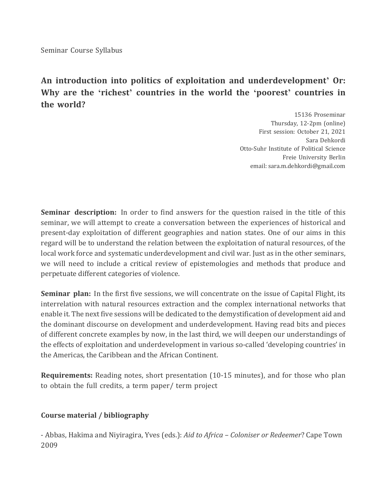Seminar Course Syllabus

## **An introduction into politics of exploitation and underdevelopment' Or: Why are the 'richest' countries in the world the 'poorest' countries in the world?**

15136 Proseminar Thursday, 12-2pm (online) First session: October 21, 2021 Sara Dehkordi Otto-Suhr Institute of Political Science Freie University Berlin email: sara.m.dehkordi@gmail.com

**Seminar description:** In order to find answers for the question raised in the title of this seminar, we will attempt to create a conversation between the experiences of historical and present-day exploitation of different geographies and nation states. One of our aims in this regard will be to understand the relation between the exploitation of natural resources, of the local work force and systematic underdevelopment and civil war. Just as in the other seminars, we will need to include a critical review of epistemologies and methods that produce and perpetuate different categories of violence.

**Seminar plan:** In the first five sessions, we will concentrate on the issue of Capital Flight, its interrelation with natural resources extraction and the complex international networks that enable it. The next five sessions will be dedicated to the demystification of development aid and the dominant discourse on development and underdevelopment. Having read bits and pieces of different concrete examples by now, in the last third, we will deepen our understandings of the effects of exploitation and underdevelopment in various so-called 'developing countries' in the Americas, the Caribbean and the African Continent.

**Requirements:** Reading notes, short presentation (10-15 minutes), and for those who plan to obtain the full credits, a term paper/ term project

## **Course material / bibliography**

- Abbas, Hakima and Niyiragira, Yves (eds.): *Aid to Africa - Coloniser or Redeemer*? Cape Town 2009